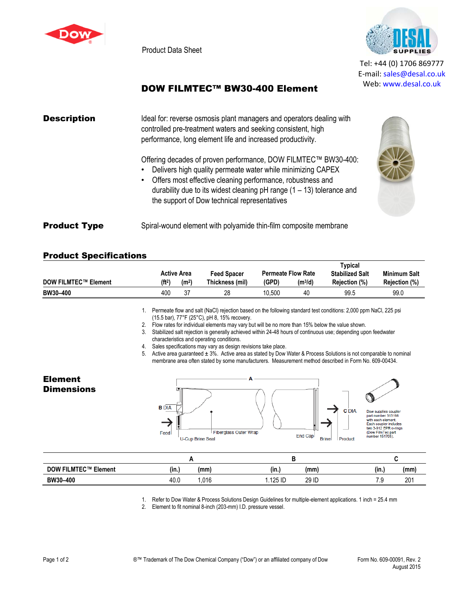

Product Data Sheet



Tel: +44 (0) 1706 869777 E‐mail: sales@desal.co.uk Web: www.desal.co.uk

## DOW FILMTEC™ BW30-400 Element

| <b>Description</b>  | Ideal for: reverse osmosis plant managers and operators dealing with<br>controlled pre-treatment waters and seeking consistent, high<br>performance, long element life and increased productivity.                                                                                                                                  |
|---------------------|-------------------------------------------------------------------------------------------------------------------------------------------------------------------------------------------------------------------------------------------------------------------------------------------------------------------------------------|
|                     | Offering decades of proven performance, DOW FILMTEC™ BW30-400:<br>Delivers high quality permeate water while minimizing CAPEX<br>Offers most effective cleaning performance, robustness and<br>$\bullet$<br>durability due to its widest cleaning $pH$ range (1 – 13) tolerance and<br>the support of Dow technical representatives |
| <b>Product Type</b> | Spiral-wound element with polyamide thin-film composite membrane                                                                                                                                                                                                                                                                    |

## Product Specifications

| <b>Active Area</b>          |                    | Feed Spacer       |                 | <b>Permeate Flow Rate</b> | Typical<br><b>Stabilized Salt</b> | <b>Minimum Salt</b> |                      |
|-----------------------------|--------------------|-------------------|-----------------|---------------------------|-----------------------------------|---------------------|----------------------|
| <b>DOW FILMTEC™ Element</b> | (f <sup>t2</sup> ) | (m <sup>2</sup> ) | Thickness (mil) | (GPD)                     | (m <sup>3</sup> /d)               | Rejection (%)       | <b>Rejection (%)</b> |
| BW30-400                    | 400                | 37                | 28              | 10.500                    | 40                                | 99.5                | 99.0                 |

1. Permeate flow and salt (NaCl) rejection based on the following standard test conditions: 2,000 ppm NaCl, 225 psi (15.5 bar), 77°F (25°C), pH 8, 15% recovery.

2. Flow rates for individual elements may vary but will be no more than 15% below the value shown.

3. Stabilized salt rejection is generally achieved within 24-48 hours of continuous use; depending upon feedwater characteristics and operating conditions.

4. Sales specifications may vary as design revisions take place.

5. Active area guaranteed ± 3%. Active area as stated by Dow Water & Process Solutions is not comparable to nominal membrane area often stated by some manufacturers. Measurement method described in Form No. 609-00434.

Element **Dimensions** 



| <b>DOW FILMTEC™ Element</b> | (in.) | (mm) | (in.)             | (mm)  | (in.)  | (mm)      |
|-----------------------------|-------|------|-------------------|-------|--------|-----------|
| BW30-400                    | 40.0  | .016 | 1251D<br>۱۷ نده ۱ | 29 ID | ◡<br>٠ | י ה<br>۷Ü |

1. Refer to Dow Water & Process Solutions Design Guidelines for multiple-element applications. 1 inch = 25.4 mm

2. Element to fit nominal 8-inch (203-mm) I.D. pressure vessel.